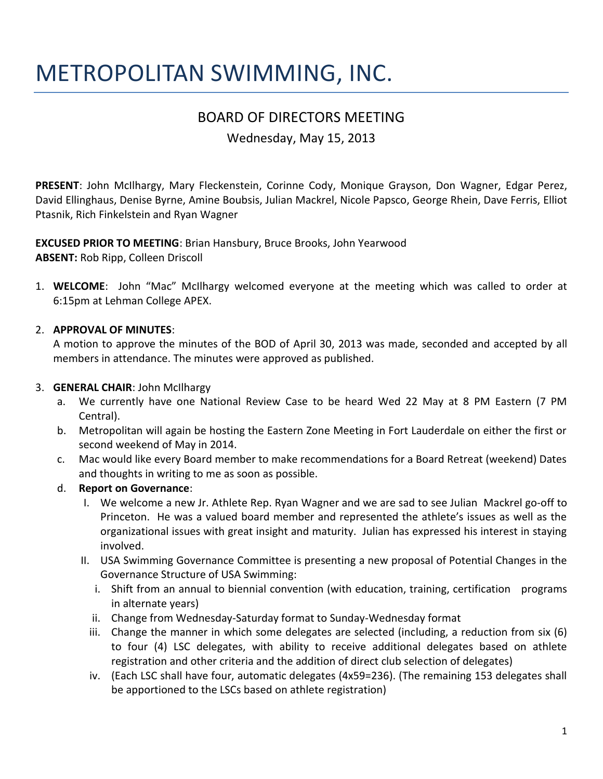# METROPOLITAN SWIMMING, INC.

# BOARD OF DIRECTORS MEETING

Wednesday, May 15, 2013

**PRESENT**: John McIlhargy, Mary Fleckenstein, Corinne Cody, Monique Grayson, Don Wagner, Edgar Perez, David Ellinghaus, Denise Byrne, Amine Boubsis, Julian Mackrel, Nicole Papsco, George Rhein, Dave Ferris, Elliot Ptasnik, Rich Finkelstein and Ryan Wagner

**EXCUSED PRIOR TO MEETING**: Brian Hansbury, Bruce Brooks, John Yearwood **ABSENT:** Rob Ripp, Colleen Driscoll

1. **WELCOME**: John "Mac" McIlhargy welcomed everyone at the meeting which was called to order at 6:15pm at Lehman College APEX.

#### 2. **APPROVAL OF MINUTES**:

A motion to approve the minutes of the BOD of April 30, 2013 was made, seconded and accepted by all members in attendance. The minutes were approved as published.

#### 3. **GENERAL CHAIR**: John McIlhargy

- a. We currently have one National Review Case to be heard Wed 22 May at 8 PM Eastern (7 PM Central).
- b. Metropolitan will again be hosting the Eastern Zone Meeting in Fort Lauderdale on either the first or second weekend of May in 2014.
- c. Mac would like every Board member to make recommendations for a Board Retreat (weekend) Dates and thoughts in writing to me as soon as possible.
- d. **Report on Governance**:
	- I. We welcome a new Jr. Athlete Rep. Ryan Wagner and we are sad to see Julian Mackrel go-off to Princeton. He was a valued board member and represented the athlete's issues as well as the organizational issues with great insight and maturity. Julian has expressed his interest in staying involved.
	- II. USA Swimming Governance Committee is presenting a new proposal of Potential Changes in the Governance Structure of USA Swimming:
		- i. Shift from an annual to biennial convention (with education, training, certification programs in alternate years)
		- ii. Change from Wednesday-Saturday format to Sunday-Wednesday format
		- iii. Change the manner in which some delegates are selected (including, a reduction from six (6) to four (4) LSC delegates, with ability to receive additional delegates based on athlete registration and other criteria and the addition of direct club selection of delegates)
		- iv. (Each LSC shall have four, automatic delegates (4x59=236). (The remaining 153 delegates shall be apportioned to the LSCs based on athlete registration)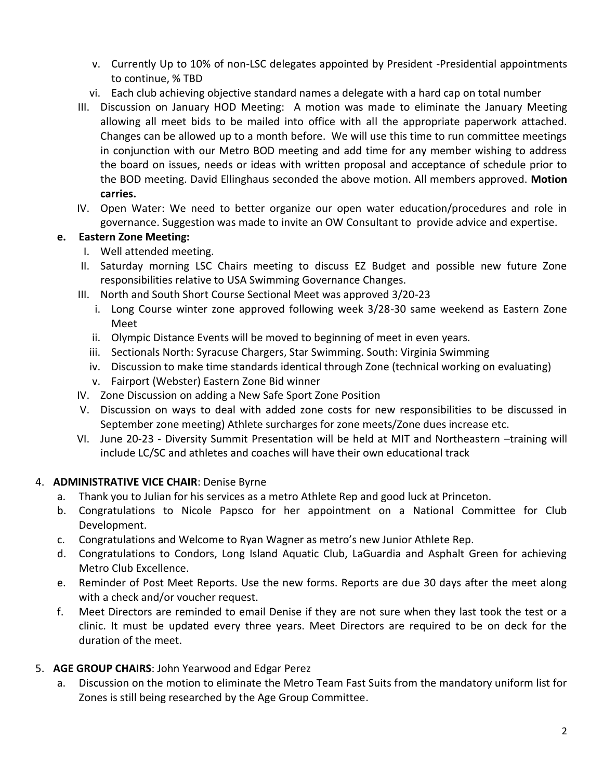- v. Currently Up to 10% of non-LSC delegates appointed by President -Presidential appointments to continue, % TBD
- vi. Each club achieving objective standard names a delegate with a hard cap on total number
- III. Discussion on January HOD Meeting: A motion was made to eliminate the January Meeting allowing all meet bids to be mailed into office with all the appropriate paperwork attached. Changes can be allowed up to a month before. We will use this time to run committee meetings in conjunction with our Metro BOD meeting and add time for any member wishing to address the board on issues, needs or ideas with written proposal and acceptance of schedule prior to the BOD meeting. David Ellinghaus seconded the above motion. All members approved. **Motion carries.**
- IV. Open Water: We need to better organize our open water education/procedures and role in governance. Suggestion was made to invite an OW Consultant to provide advice and expertise.

## **e. Eastern Zone Meeting:**

- I. Well attended meeting.
- II. Saturday morning LSC Chairs meeting to discuss EZ Budget and possible new future Zone responsibilities relative to USA Swimming Governance Changes.
- III. North and South Short Course Sectional Meet was approved 3/20-23
	- i. Long Course winter zone approved following week 3/28-30 same weekend as Eastern Zone Meet
	- ii. Olympic Distance Events will be moved to beginning of meet in even years.
	- iii. Sectionals North: Syracuse Chargers, Star Swimming. South: Virginia Swimming
	- iv. Discussion to make time standards identical through Zone (technical working on evaluating)
	- v. Fairport (Webster) Eastern Zone Bid winner
- IV. Zone Discussion on adding a New Safe Sport Zone Position
- V. Discussion on ways to deal with added zone costs for new responsibilities to be discussed in September zone meeting) Athlete surcharges for zone meets/Zone dues increase etc.
- VI. June 20-23 Diversity Summit Presentation will be held at MIT and Northeastern –training will include LC/SC and athletes and coaches will have their own educational track

# 4. **ADMINISTRATIVE VICE CHAIR**: Denise Byrne

- a. Thank you to Julian for his services as a metro Athlete Rep and good luck at Princeton.
- b. Congratulations to Nicole Papsco for her appointment on a National Committee for Club Development.
- c. Congratulations and Welcome to Ryan Wagner as metro's new Junior Athlete Rep.
- d. Congratulations to Condors, Long Island Aquatic Club, LaGuardia and Asphalt Green for achieving Metro Club Excellence.
- e. Reminder of Post Meet Reports. Use the new forms. Reports are due 30 days after the meet along with a check and/or voucher request.
- f. Meet Directors are reminded to email Denise if they are not sure when they last took the test or a clinic. It must be updated every three years. Meet Directors are required to be on deck for the duration of the meet.

# 5. **AGE GROUP CHAIRS**: John Yearwood and Edgar Perez

a. Discussion on the motion to eliminate the Metro Team Fast Suits from the mandatory uniform list for Zones is still being researched by the Age Group Committee.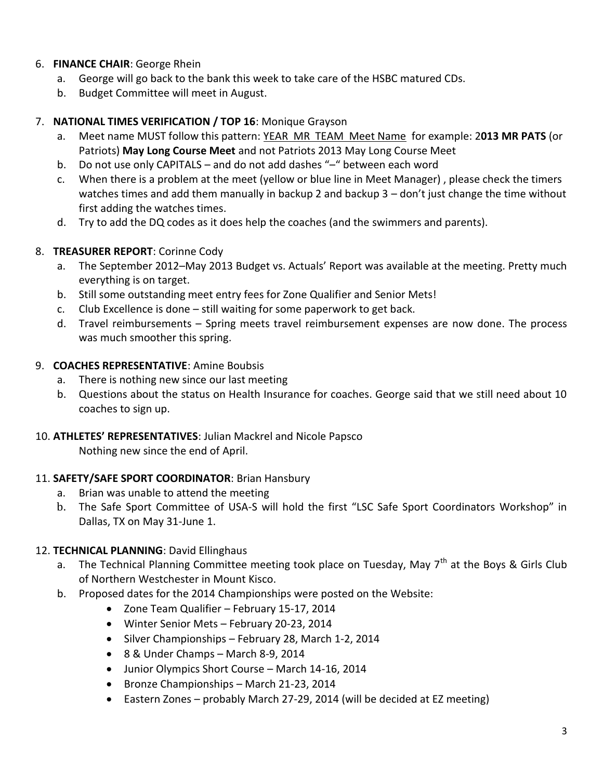# 6. **FINANCE CHAIR**: George Rhein

- a. George will go back to the bank this week to take care of the HSBC matured CDs.
- b. Budget Committee will meet in August.

#### 7. **NATIONAL TIMES VERIFICATION / TOP 16**: Monique Grayson

- a. Meet name MUST follow this pattern: YEAR MR TEAM Meet Name for example: 2**013 MR PATS** (or Patriots) **May Long Course Meet** and not Patriots 2013 May Long Course Meet
- b. Do not use only CAPITALS and do not add dashes "–" between each word
- c. When there is a problem at the meet (yellow or blue line in Meet Manager) , please check the timers watches times and add them manually in backup 2 and backup 3 – don't just change the time without first adding the watches times.
- d. Try to add the DQ codes as it does help the coaches (and the swimmers and parents).

## 8. **TREASURER REPORT**: Corinne Cody

- a. The September 2012–May 2013 Budget vs. Actuals' Report was available at the meeting. Pretty much everything is on target.
- b. Still some outstanding meet entry fees for Zone Qualifier and Senior Mets!
- c. Club Excellence is done still waiting for some paperwork to get back.
- d. Travel reimbursements Spring meets travel reimbursement expenses are now done. The process was much smoother this spring.

#### 9. **COACHES REPRESENTATIVE**: Amine Boubsis

- a. There is nothing new since our last meeting
- b. Questions about the status on Health Insurance for coaches. George said that we still need about 10 coaches to sign up.

#### 10. **ATHLETES' REPRESENTATIVES**: Julian Mackrel and Nicole Papsco

Nothing new since the end of April.

#### 11. **SAFETY/SAFE SPORT COORDINATOR**: Brian Hansbury

- a. Brian was unable to attend the meeting
- b. The Safe Sport Committee of USA-S will hold the first "LSC Safe Sport Coordinators Workshop" in Dallas, TX on May 31-June 1.

#### 12. **TECHNICAL PLANNING**: David Ellinghaus

- a. The Technical Planning Committee meeting took place on Tuesday, May  $7<sup>th</sup>$  at the Boys & Girls Club of Northern Westchester in Mount Kisco.
- b. Proposed dates for the 2014 Championships were posted on the Website:
	- Zone Team Qualifier February 15-17, 2014
	- Winter Senior Mets February 20-23, 2014
	- Silver Championships February 28, March 1-2, 2014
	- 8 & Under Champs March 8-9, 2014
	- Junior Olympics Short Course March 14-16, 2014
	- Bronze Championships March 21-23, 2014
	- Eastern Zones probably March 27-29, 2014 (will be decided at EZ meeting)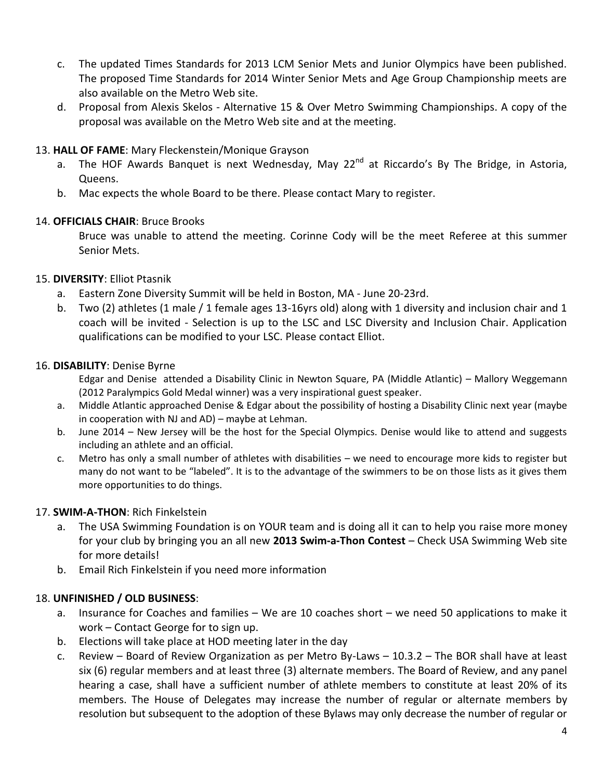- c. The updated Times Standards for 2013 LCM Senior Mets and Junior Olympics have been published. The proposed Time Standards for 2014 Winter Senior Mets and Age Group Championship meets are also available on the Metro Web site.
- d. Proposal from Alexis Skelos Alternative 15 & Over Metro Swimming Championships. A copy of the proposal was available on the Metro Web site and at the meeting.

#### 13. **HALL OF FAME**: Mary Fleckenstein/Monique Grayson

- a. The HOF Awards Banquet is next Wednesday, May 22<sup>nd</sup> at Riccardo's By The Bridge, in Astoria, Queens.
- b. Mac expects the whole Board to be there. Please contact Mary to register.

#### 14. **OFFICIALS CHAIR**: Bruce Brooks

Bruce was unable to attend the meeting. Corinne Cody will be the meet Referee at this summer Senior Mets.

#### 15. **DIVERSITY**: Elliot Ptasnik

- a. Eastern Zone Diversity Summit will be held in Boston, MA June 20-23rd.
- b. Two (2) athletes (1 male / 1 female ages 13-16yrs old) along with 1 diversity and inclusion chair and 1 coach will be invited - Selection is up to the LSC and LSC Diversity and Inclusion Chair. Application qualifications can be modified to your LSC. Please contact Elliot.

#### 16. **DISABILITY**: Denise Byrne

Edgar and Denise attended a Disability Clinic in Newton Square, PA (Middle Atlantic) – Mallory Weggemann (2012 Paralympics Gold Medal winner) was a very inspirational guest speaker.

- a. Middle Atlantic approached Denise & Edgar about the possibility of hosting a Disability Clinic next year (maybe in cooperation with NJ and AD) – maybe at Lehman.
- b. June 2014 New Jersey will be the host for the Special Olympics. Denise would like to attend and suggests including an athlete and an official.
- c. Metro has only a small number of athletes with disabilities we need to encourage more kids to register but many do not want to be "labeled". It is to the advantage of the swimmers to be on those lists as it gives them more opportunities to do things.

# 17. **SWIM-A-THON**: Rich Finkelstein

- a. The USA Swimming Foundation is on YOUR team and is doing all it can to help you raise more money for your club by bringing you an all new **2013 Swim-a-Thon Contest** – Check USA Swimming Web site for more details!
- b. Email Rich Finkelstein if you need more information

# 18. **UNFINISHED / OLD BUSINESS**:

- a. Insurance for Coaches and families We are 10 coaches short we need 50 applications to make it work – Contact George for to sign up.
- b. Elections will take place at HOD meeting later in the day
- c. Review Board of Review Organization as per Metro By-Laws 10.3.2 The BOR shall have at least six (6) regular members and at least three (3) alternate members. The Board of Review, and any panel hearing a case, shall have a sufficient number of athlete members to constitute at least 20% of its members. The House of Delegates may increase the number of regular or alternate members by resolution but subsequent to the adoption of these Bylaws may only decrease the number of regular or